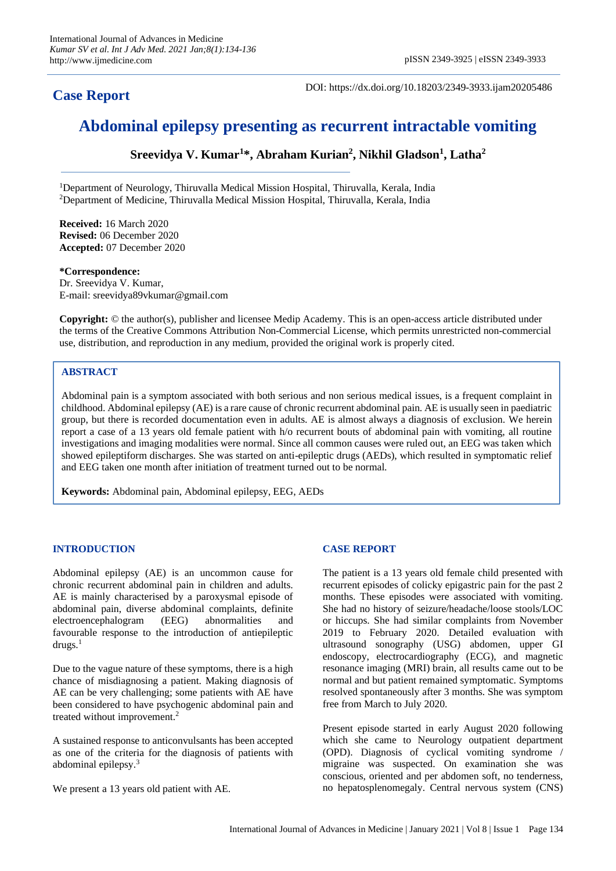# **Case Report**

DOI: https://dx.doi.org/10.18203/2349-3933.ijam20205486

# **Abdominal epilepsy presenting as recurrent intractable vomiting**

**Sreevidya V. Kumar<sup>1</sup> \*, Abraham Kurian<sup>2</sup> , Nikhil Gladson<sup>1</sup> , Latha<sup>2</sup>**

<sup>1</sup>Department of Neurology, Thiruvalla Medical Mission Hospital, Thiruvalla, Kerala, India <sup>2</sup>Department of Medicine, Thiruvalla Medical Mission Hospital, Thiruvalla, Kerala, India

**Received:** 16 March 2020 **Revised:** 06 December 2020 **Accepted:** 07 December 2020

#### **\*Correspondence:**

Dr. Sreevidya V. Kumar, E-mail: sreevidya89vkumar@gmail.com

**Copyright:** © the author(s), publisher and licensee Medip Academy. This is an open-access article distributed under the terms of the Creative Commons Attribution Non-Commercial License, which permits unrestricted non-commercial use, distribution, and reproduction in any medium, provided the original work is properly cited.

## **ABSTRACT**

Abdominal pain is a symptom associated with both serious and non serious medical issues, is a frequent complaint in childhood. Abdominal epilepsy (AE) is a rare cause of chronic recurrent abdominal pain. AE is usually seen in paediatric group, but there is recorded documentation even in adults. AE is almost always a diagnosis of exclusion. We herein report a case of a 13 years old female patient with h/o recurrent bouts of abdominal pain with vomiting, all routine investigations and imaging modalities were normal. Since all common causes were ruled out, an EEG was taken which showed epileptiform discharges. She was started on anti-epileptic drugs (AEDs), which resulted in symptomatic relief and EEG taken one month after initiation of treatment turned out to be normal.

**Keywords:** Abdominal pain, Abdominal epilepsy, EEG, AEDs

## **INTRODUCTION**

Abdominal epilepsy (AE) is an uncommon cause for chronic recurrent abdominal pain in children and adults. AE is mainly characterised by a paroxysmal episode of abdominal pain, diverse abdominal complaints, definite electroencephalogram (EEG) abnormalities and favourable response to the introduction of antiepileptic  $drugs.<sup>1</sup>$ 

Due to the vague nature of these symptoms, there is a high chance of misdiagnosing a patient. Making diagnosis of AE can be very challenging; some patients with AE have been considered to have psychogenic abdominal pain and treated without improvement.<sup>2</sup>

A sustained response to anticonvulsants has been accepted as one of the criteria for the diagnosis of patients with abdominal epilepsy. 3

We present a 13 years old patient with AE.

# **CASE REPORT**

The patient is a 13 years old female child presented with recurrent episodes of colicky epigastric pain for the past 2 months. These episodes were associated with vomiting. She had no history of seizure/headache/loose stools/LOC or hiccups. She had similar complaints from November 2019 to February 2020. Detailed evaluation with ultrasound sonography (USG) abdomen, upper GI endoscopy, electrocardiography (ECG), and magnetic resonance imaging (MRI) brain, all results came out to be normal and but patient remained symptomatic. Symptoms resolved spontaneously after 3 months. She was symptom free from March to July 2020.

Present episode started in early August 2020 following which she came to Neurology outpatient department (OPD). Diagnosis of cyclical vomiting syndrome / migraine was suspected. On examination she was conscious, oriented and per abdomen soft, no tenderness, no hepatosplenomegaly. Central nervous system (CNS)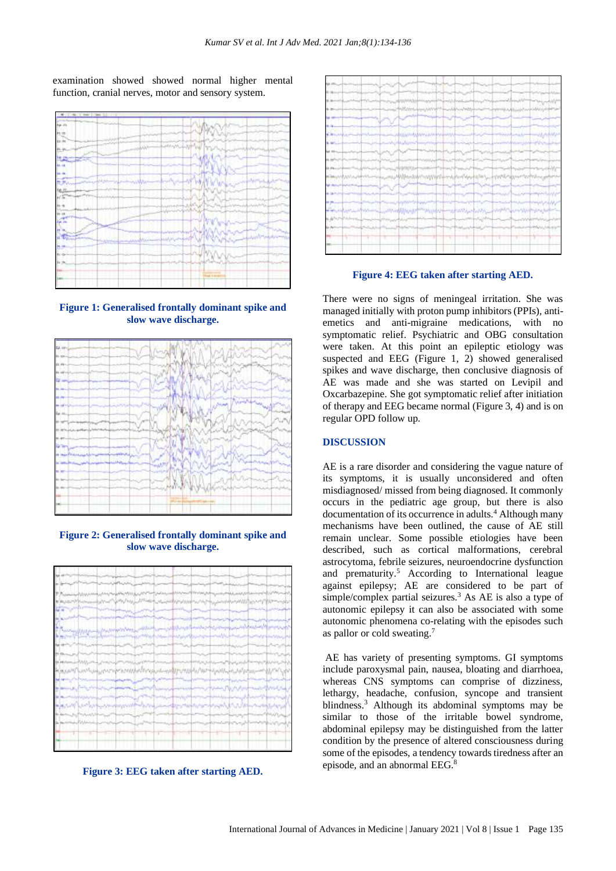examination showed showed normal higher mental function, cranial nerves, motor and sensory system.



**Figure 1: Generalised frontally dominant spike and slow wave discharge.**



**Figure 2: Generalised frontally dominant spike and slow wave discharge.**



**Figure 3: EEG taken after starting AED.**



**Figure 4: EEG taken after starting AED.**

There were no signs of meningeal irritation. She was managed initially with proton pump inhibitors (PPIs), antiemetics and anti-migraine medications, with no symptomatic relief. Psychiatric and OBG consultation were taken. At this point an epileptic etiology was suspected and EEG (Figure 1, 2) showed generalised spikes and wave discharge, then conclusive diagnosis of AE was made and she was started on Levipil and Oxcarbazepine. She got symptomatic relief after initiation of therapy and EEG became normal (Figure 3, 4) and is on regular OPD follow up.

#### **DISCUSSION**

AE is a rare disorder and considering the vague nature of its symptoms, it is usually unconsidered and often misdiagnosed/ missed from being diagnosed. It commonly occurs in the pediatric age group, but there is also documentation of its occurrence in adults.<sup>4</sup> Although many mechanisms have been outlined, the cause of AE still remain unclear. Some possible etiologies have been described, such as cortical malformations, cerebral astrocytoma, febrile seizures, neuroendocrine dysfunction and prematurity.<sup>5</sup> According to International league against epilepsy; AE are considered to be part of simple/complex partial seizures.<sup>3</sup> As AE is also a type of autonomic epilepsy it can also be associated with some autonomic phenomena co-relating with the episodes such as pallor or cold sweating.<sup>7</sup>

AE has variety of presenting symptoms. GI symptoms include paroxysmal pain, nausea, bloating and diarrhoea, whereas CNS symptoms can comprise of dizziness, lethargy, headache, confusion, syncope and transient blindness.<sup>3</sup> Although its abdominal symptoms may be similar to those of the irritable bowel syndrome, abdominal epilepsy may be distinguished from the latter condition by the presence of altered consciousness during some of the episodes, a tendency towards tiredness after an episode, and an abnormal EEG.8